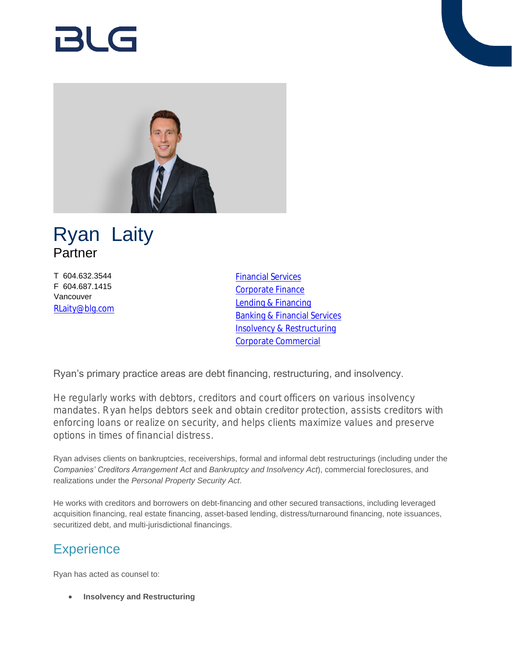# RI G





T 604.632.3544 F 604.687.1415 Vancouver [RLaity@blg.com](mailto:RLaity@blg.com) [Financial Services](https://www.blg.com/en/services/industries/financial-services) [Corporate Finance](https://www.blg.com/en/services/practice-areas/capital-markets/corporate-finance) [Lending & Financing](https://www.blg.com/en/services/practice-areas/banking-financial-services/lending-financing) [Banking & Financial Services](https://www.blg.com/en/services/practice-areas/banking-financial-services) [Insolvency & Restructuring](https://www.blg.com/en/services/practice-areas/insolvency-,-a-,-restructuring) [Corporate Commercial](https://www.blg.com/en/services/practice-areas/corporate-commercial)

Ryan's primary practice areas are debt financing, restructuring, and insolvency.

He regularly works with debtors, creditors and court officers on various insolvency mandates. Ryan helps debtors seek and obtain creditor protection, assists creditors with enforcing loans or realize on security, and helps clients maximize values and preserve options in times of financial distress.

Ryan advises clients on bankruptcies, receiverships, formal and informal debt restructurings (including under the *Companies' Creditors Arrangement Act* and *Bankruptcy and Insolvency Act*), commercial foreclosures, and realizations under the *Personal Property Security Act*.

He works with creditors and borrowers on debt-financing and other secured transactions, including leveraged acquisition financing, real estate financing, asset-based lending, distress/turnaround financing, note issuances, securitized debt, and multi-jurisdictional financings.

# **Experience**

Ryan has acted as counsel to:

**Insolvency and Restructuring**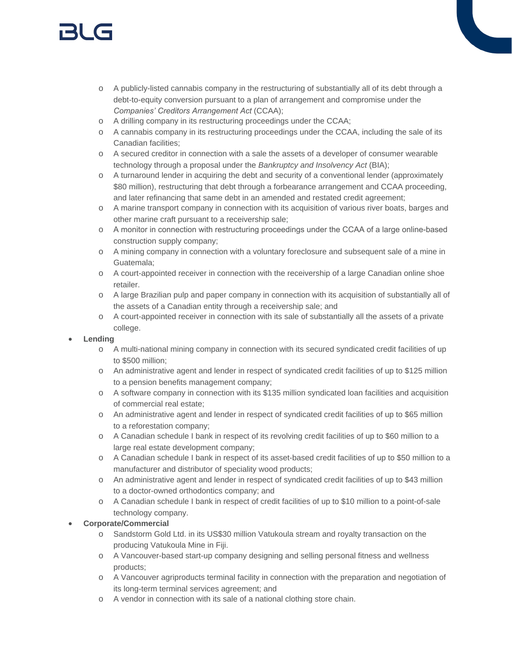# 131 (s

- o A publicly-listed cannabis company in the restructuring of substantially all of its debt through a debt-to-equity conversion pursuant to a plan of arrangement and compromise under the *Companies' Creditors Arrangement Act* (CCAA);
- o A drilling company in its restructuring proceedings under the CCAA;
- o A cannabis company in its restructuring proceedings under the CCAA, including the sale of its Canadian facilities;
- o A secured creditor in connection with a sale the assets of a developer of consumer wearable technology through a proposal under the *Bankruptcy and Insolvency Act* (BIA);
- o A turnaround lender in acquiring the debt and security of a conventional lender (approximately \$80 million), restructuring that debt through a forbearance arrangement and CCAA proceeding, and later refinancing that same debt in an amended and restated credit agreement;
- o A marine transport company in connection with its acquisition of various river boats, barges and other marine craft pursuant to a receivership sale;
- o A monitor in connection with restructuring proceedings under the CCAA of a large online-based construction supply company;
- o A mining company in connection with a voluntary foreclosure and subsequent sale of a mine in Guatemala;
- o A court-appointed receiver in connection with the receivership of a large Canadian online shoe retailer.
- o A large Brazilian pulp and paper company in connection with its acquisition of substantially all of the assets of a Canadian entity through a receivership sale; and
- o A court-appointed receiver in connection with its sale of substantially all the assets of a private college.

#### **Lending**

- o A multi-national mining company in connection with its secured syndicated credit facilities of up to \$500 million;
- o An administrative agent and lender in respect of syndicated credit facilities of up to \$125 million to a pension benefits management company;
- o A software company in connection with its \$135 million syndicated loan facilities and acquisition of commercial real estate;
- o An administrative agent and lender in respect of syndicated credit facilities of up to \$65 million to a reforestation company;
- o A Canadian schedule I bank in respect of its revolving credit facilities of up to \$60 million to a large real estate development company;
- o A Canadian schedule I bank in respect of its asset-based credit facilities of up to \$50 million to a manufacturer and distributor of speciality wood products;
- o An administrative agent and lender in respect of syndicated credit facilities of up to \$43 million to a doctor-owned orthodontics company; and
- o A Canadian schedule I bank in respect of credit facilities of up to \$10 million to a point-of-sale technology company.

#### **Corporate/Commercial**

- o Sandstorm Gold Ltd. in its US\$30 million Vatukoula stream and royalty transaction on the producing Vatukoula Mine in Fiji.
- o A Vancouver-based start-up company designing and selling personal fitness and wellness products;
- o A Vancouver agriproducts terminal facility in connection with the preparation and negotiation of its long-term terminal services agreement; and
- o A vendor in connection with its sale of a national clothing store chain.